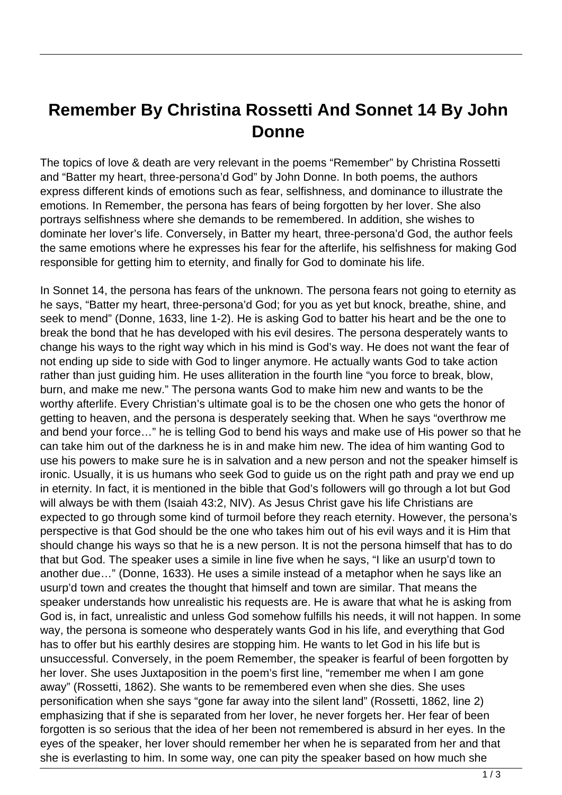## **Remember By Christina Rossetti And Sonnet 14 By John Donne**

The topics of love & death are very relevant in the poems "Remember" by Christina Rossetti and "Batter my heart, three-persona'd God" by John Donne. In both poems, the authors express different kinds of emotions such as fear, selfishness, and dominance to illustrate the emotions. In Remember, the persona has fears of being forgotten by her lover. She also portrays selfishness where she demands to be remembered. In addition, she wishes to dominate her lover's life. Conversely, in Batter my heart, three-persona'd God, the author feels the same emotions where he expresses his fear for the afterlife, his selfishness for making God responsible for getting him to eternity, and finally for God to dominate his life.

In Sonnet 14, the persona has fears of the unknown. The persona fears not going to eternity as he says, "Batter my heart, three-persona'd God; for you as yet but knock, breathe, shine, and seek to mend" (Donne, 1633, line 1-2). He is asking God to batter his heart and be the one to break the bond that he has developed with his evil desires. The persona desperately wants to change his ways to the right way which in his mind is God's way. He does not want the fear of not ending up side to side with God to linger anymore. He actually wants God to take action rather than just guiding him. He uses alliteration in the fourth line "you force to break, blow, burn, and make me new." The persona wants God to make him new and wants to be the worthy afterlife. Every Christian's ultimate goal is to be the chosen one who gets the honor of getting to heaven, and the persona is desperately seeking that. When he says "overthrow me and bend your force…" he is telling God to bend his ways and make use of His power so that he can take him out of the darkness he is in and make him new. The idea of him wanting God to use his powers to make sure he is in salvation and a new person and not the speaker himself is ironic. Usually, it is us humans who seek God to guide us on the right path and pray we end up in eternity. In fact, it is mentioned in the bible that God's followers will go through a lot but God will always be with them (Isaiah 43:2, NIV). As Jesus Christ gave his life Christians are expected to go through some kind of turmoil before they reach eternity. However, the persona's perspective is that God should be the one who takes him out of his evil ways and it is Him that should change his ways so that he is a new person. It is not the persona himself that has to do that but God. The speaker uses a simile in line five when he says, "I like an usurp'd town to another due…" (Donne, 1633). He uses a simile instead of a metaphor when he says like an usurp'd town and creates the thought that himself and town are similar. That means the speaker understands how unrealistic his requests are. He is aware that what he is asking from God is, in fact, unrealistic and unless God somehow fulfills his needs, it will not happen. In some way, the persona is someone who desperately wants God in his life, and everything that God has to offer but his earthly desires are stopping him. He wants to let God in his life but is unsuccessful. Conversely, in the poem Remember, the speaker is fearful of been forgotten by her lover. She uses Juxtaposition in the poem's first line, "remember me when I am gone away" (Rossetti, 1862). She wants to be remembered even when she dies. She uses personification when she says "gone far away into the silent land" (Rossetti, 1862, line 2) emphasizing that if she is separated from her lover, he never forgets her. Her fear of been forgotten is so serious that the idea of her been not remembered is absurd in her eyes. In the eyes of the speaker, her lover should remember her when he is separated from her and that she is everlasting to him. In some way, one can pity the speaker based on how much she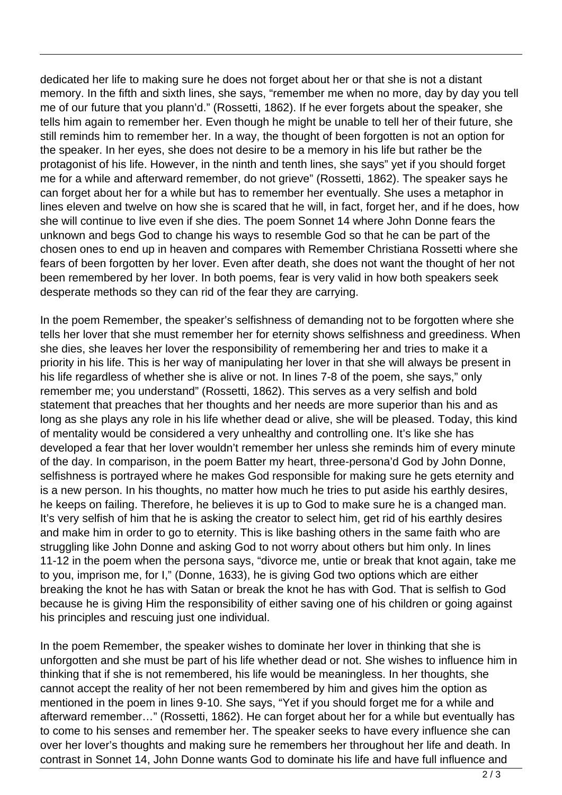dedicated her life to making sure he does not forget about her or that she is not a distant memory. In the fifth and sixth lines, she says, "remember me when no more, day by day you tell me of our future that you plann'd." (Rossetti, 1862). If he ever forgets about the speaker, she tells him again to remember her. Even though he might be unable to tell her of their future, she still reminds him to remember her. In a way, the thought of been forgotten is not an option for the speaker. In her eyes, she does not desire to be a memory in his life but rather be the protagonist of his life. However, in the ninth and tenth lines, she says" yet if you should forget me for a while and afterward remember, do not grieve" (Rossetti, 1862). The speaker says he can forget about her for a while but has to remember her eventually. She uses a metaphor in lines eleven and twelve on how she is scared that he will, in fact, forget her, and if he does, how she will continue to live even if she dies. The poem Sonnet 14 where John Donne fears the unknown and begs God to change his ways to resemble God so that he can be part of the chosen ones to end up in heaven and compares with Remember Christiana Rossetti where she fears of been forgotten by her lover. Even after death, she does not want the thought of her not been remembered by her lover. In both poems, fear is very valid in how both speakers seek desperate methods so they can rid of the fear they are carrying.

In the poem Remember, the speaker's selfishness of demanding not to be forgotten where she tells her lover that she must remember her for eternity shows selfishness and greediness. When she dies, she leaves her lover the responsibility of remembering her and tries to make it a priority in his life. This is her way of manipulating her lover in that she will always be present in his life regardless of whether she is alive or not. In lines 7-8 of the poem, she says," only remember me; you understand" (Rossetti, 1862). This serves as a very selfish and bold statement that preaches that her thoughts and her needs are more superior than his and as long as she plays any role in his life whether dead or alive, she will be pleased. Today, this kind of mentality would be considered a very unhealthy and controlling one. It's like she has developed a fear that her lover wouldn't remember her unless she reminds him of every minute of the day. In comparison, in the poem Batter my heart, three-persona'd God by John Donne, selfishness is portrayed where he makes God responsible for making sure he gets eternity and is a new person. In his thoughts, no matter how much he tries to put aside his earthly desires, he keeps on failing. Therefore, he believes it is up to God to make sure he is a changed man. It's very selfish of him that he is asking the creator to select him, get rid of his earthly desires and make him in order to go to eternity. This is like bashing others in the same faith who are struggling like John Donne and asking God to not worry about others but him only. In lines 11-12 in the poem when the persona says, "divorce me, untie or break that knot again, take me to you, imprison me, for I," (Donne, 1633), he is giving God two options which are either breaking the knot he has with Satan or break the knot he has with God. That is selfish to God because he is giving Him the responsibility of either saving one of his children or going against his principles and rescuing just one individual.

In the poem Remember, the speaker wishes to dominate her lover in thinking that she is unforgotten and she must be part of his life whether dead or not. She wishes to influence him in thinking that if she is not remembered, his life would be meaningless. In her thoughts, she cannot accept the reality of her not been remembered by him and gives him the option as mentioned in the poem in lines 9-10. She says, "Yet if you should forget me for a while and afterward remember…" (Rossetti, 1862). He can forget about her for a while but eventually has to come to his senses and remember her. The speaker seeks to have every influence she can over her lover's thoughts and making sure he remembers her throughout her life and death. In contrast in Sonnet 14, John Donne wants God to dominate his life and have full influence and